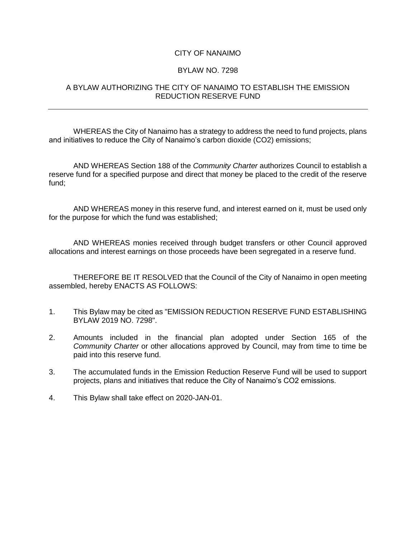## CITY OF NANAIMO

## BYLAW NO. 7298

## A BYLAW AUTHORIZING THE CITY OF NANAIMO TO ESTABLISH THE EMISSION REDUCTION RESERVE FUND

WHEREAS the City of Nanaimo has a strategy to address the need to fund projects, plans and initiatives to reduce the City of Nanaimo's carbon dioxide (CO2) emissions;

AND WHEREAS Section 188 of the *Community Charter* authorizes Council to establish a reserve fund for a specified purpose and direct that money be placed to the credit of the reserve fund;

AND WHEREAS money in this reserve fund, and interest earned on it, must be used only for the purpose for which the fund was established;

AND WHEREAS monies received through budget transfers or other Council approved allocations and interest earnings on those proceeds have been segregated in a reserve fund.

THEREFORE BE IT RESOLVED that the Council of the City of Nanaimo in open meeting assembled, hereby ENACTS AS FOLLOWS:

- 1. This Bylaw may be cited as "EMISSION REDUCTION RESERVE FUND ESTABLISHING BYLAW 2019 NO. 7298".
- 2. Amounts included in the financial plan adopted under Section 165 of the *Community Charter* or other allocations approved by Council, may from time to time be paid into this reserve fund.
- 3. The accumulated funds in the Emission Reduction Reserve Fund will be used to support projects, plans and initiatives that reduce the City of Nanaimo's CO2 emissions.
- 4. This Bylaw shall take effect on 2020-JAN-01.